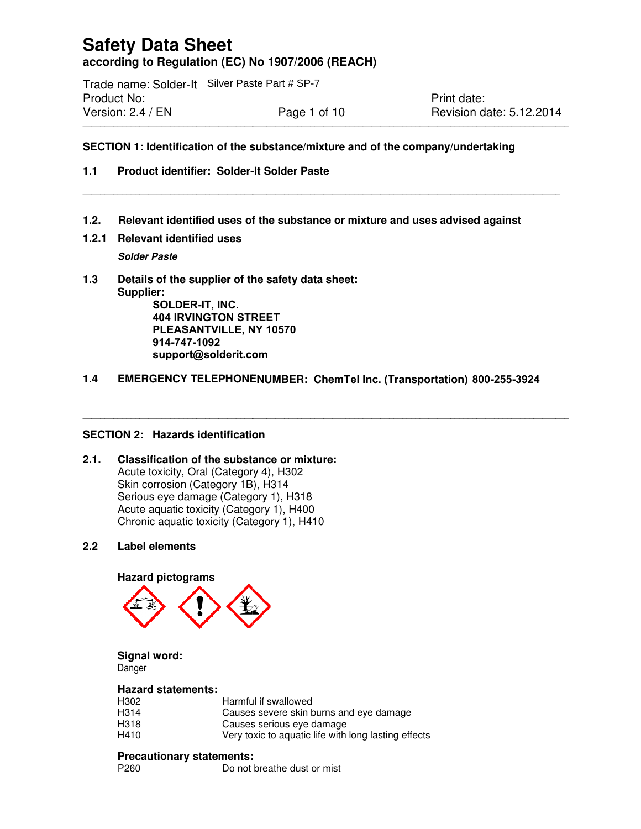# **Safety Data Sheet according to Regulation (EC) No 1907/2006 (REACH) according to Regulation (EC) No 1907/2006**

\_\_\_\_\_\_\_\_\_\_\_\_\_\_\_\_\_\_\_\_\_\_\_\_\_\_\_\_\_\_\_\_\_\_\_\_\_\_\_\_\_\_\_\_\_\_\_\_\_\_\_\_\_\_\_\_\_\_\_\_\_\_\_\_\_\_\_\_\_\_\_\_\_\_\_\_\_\_\_\_

\_\_\_\_\_\_\_\_\_\_\_\_\_\_\_\_\_\_\_\_\_\_\_\_\_\_\_\_\_\_\_\_\_\_\_\_\_\_\_\_\_\_\_\_\_\_\_\_\_\_\_\_\_\_\_\_\_\_\_\_\_\_\_\_\_\_\_\_\_\_\_\_\_\_\_\_\_\_\_\_\_\_

Trade name: Solder-It Silver Paste Part # SP-7 Product No: Version: 2.4 / EN Page 1 of 10

Print date: **Revision date: 5.12.2014** 

# **SECTION 1: Identification of the substance/mixture and of the Identification of the substance/mixture of the company/undertaking** \_\_\_\_\_\_\_\_\_\_\_\_\_\_\_\_\_\_\_\_\_\_\_\_\_\_\_\_\_\_\_\_\_\_\_\_\_\_\_\_\_\_\_\_\_\_\_\_\_\_\_\_\_

\_\_\_\_\_\_\_\_\_\_\_\_\_\_\_\_\_\_\_\_\_\_\_\_\_\_\_\_\_\_\_\_\_\_\_\_\_\_\_\_\_\_\_\_\_\_\_\_\_\_\_\_\_\_\_\_\_\_\_\_\_\_\_\_\_\_\_\_\_\_\_\_\_\_\_\_\_\_\_\_\_\_\_\_\_\_\_\_\_\_\_\_\_\_\_\_\_\_\_\_\_\_\_\_\_\_\_\_\_\_\_

\_\_\_\_\_\_\_\_\_\_\_\_\_\_\_\_\_\_\_\_\_\_\_\_\_\_\_\_\_\_\_\_\_\_\_\_\_\_\_\_\_\_\_\_\_\_\_\_\_\_\_\_\_\_\_\_\_\_\_\_\_\_\_\_\_\_\_\_\_\_\_\_\_\_\_\_\_\_\_\_\_\_\_\_\_\_\_\_\_\_\_\_\_\_\_\_\_\_\_\_\_\_\_\_\_\_\_\_\_

### **1.1 Product identifier: Solder- -It Solder Paste**

- 1.2. Relevant identified uses of the substance or mixture and uses advised against<br>1.2.1 Relevant identified uses<br>*Solder Paste*<br>1.3 Details of the supplier of the safety data sheet:
- **1.2.1 Relevant identified uses**

**Solder Paste** 

**1.3 Details of the supplier of the safety data sheet Supplier: SOLDER-IT, INC.** of the substance or mixture and uses advised against<br>the safety data sheet:<br>TREET<br>NY 10570<br>com<br>VENUMBER: ChemTel Inc. (Transportation) 800-255-3924 Silver Paste Part # SP-7<br>
Print date:<br>
Page 1 of 10<br>
In of the substance/mixture and of the company/undertaking<br>
1 Solder-It Solder Paste<br>
<br>
d uses of the substance or mixture and uses advised against<br>
d uses<br>
plier of the

**404 IRVINGTON STREET** PLEASANTVILLE, NY 10570 **nordsonefd.com complianceservice support@solderit.com 914-747-1092** 

\_\_\_\_\_\_\_\_\_\_\_\_\_\_\_\_\_\_\_\_\_\_\_\_\_\_\_\_\_\_\_\_\_\_\_\_\_\_\_\_\_\_\_\_\_\_\_\_\_\_\_\_\_\_\_\_\_\_\_\_\_\_\_\_\_\_\_\_\_\_\_\_\_\_\_\_\_

### 1.4 EMERGENCY TELEPHONENUMBER: ChemTel Inc. (Transportation) 800

\_\_\_\_\_\_\_\_\_\_\_\_\_\_\_\_\_\_\_\_\_\_\_\_\_\_\_\_\_\_\_\_\_\_\_\_\_\_\_\_\_\_\_\_\_\_\_\_\_\_\_\_\_\_\_\_\_\_\_\_\_\_\_\_\_\_\_\_\_\_\_\_\_\_\_\_\_\_\_\_\_\_\_\_\_\_\_\_\_\_\_\_\_\_\_\_\_\_\_\_\_\_\_\_\_\_\_\_\_\_\_

### **SECTION 2: Hazards identification**

### SECTION 2: Hazards identification<br>2.1. Classification of the substance or mixture: Acute toxicity, Oral (Category 4), H302 Skin corrosion (Category 1B), H314 Serious eye damage (Category 1), H318 Acute aquatic toxicity (Category 1), H400 Chronic aquatic toxicity (Category 1), H410 Acute toxicity, Oral (Category 4), H:<br>Skin corrosion (Category 1B), H314<br>Serious eye damage (Category 1),<br>Acute aquatic toxicity (Category 1),<br>Chronic aquatic toxicity (Category 1

### **2.2 Label elements**

### **Hazard pictograms**



### **Signal word:**

Danger

### **Hazard statements:**

H302 Harmful if swallowed H314 Causes severe skin burns and eye damage H318 Causes serious eye damage H410 Very toxic to aquatic life with long lasting effects Harmful if swallowed<br>Causes severe skin burns and eye dama<br>Causes serious eye damage<br>Very toxic to aquatic life with long lasting<br>**nents:**<br>Do not breathe dust or mist

### **Precautionary statements:**

P260 Do not breathe dust or mist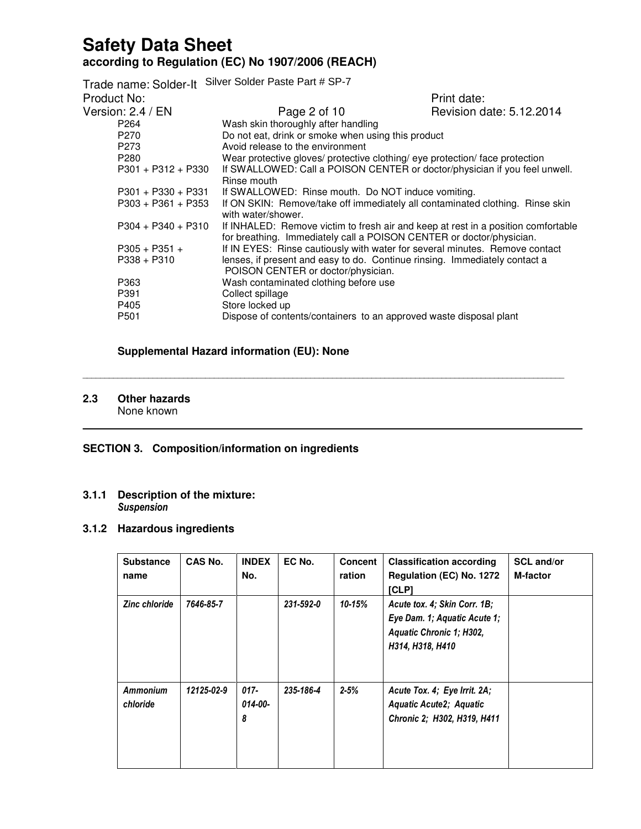Trade name: Solder-It Silver Solder Paste Part # SP-7 Product No: Product No: Print date: Version: 2.4 / EN **Page 2 of 10** Revision date: 5.12.2014 P264 Wash skin thoroughly after handling P270 Do not eat, drink or smoke when using this product P273 Avoid release to the environment P280 Wear protective gloves/ protective clothing/ eye protection/ face protection<br>P301 + P312 + P330 If SWALLOWED: Call a POISON CENTER or doctor/physician if you feel u If SWALLOWED: Call a POISON CENTER or doctor/physician if you feel unwell. Rinse mouth P301 + P330 + P331 If SWALLOWED: Rinse mouth. Do NOT induce vomiting.<br>P303 + P361 + P353 If ON SKIN: Remove/take off immediately all contaminated If ON SKIN: Remove/take off immediately all contaminated clothing. Rinse skin with water/shower. P304 + P340 + P310 If INHALED: Remove victim to fresh air and keep at rest in a position comfortable for breathing. Immediately call a POISON CENTER or doctor/physician. P305 + P351 + If IN EYES: Rinse cautiously with water for several minutes. Remove contact P338 + P310 lenses, if present and easy to do. Continue rinsing. Immediately contact a POISON CENTER or doctor/physician. P363 Wash contaminated clothing before use P391 Collect spillage<br>P405 Store locked up Store locked up P501 Dispose of contents/containers to an approved waste disposal plant

\_\_\_\_\_\_\_\_\_\_\_\_\_\_\_\_\_\_\_\_\_\_\_\_\_\_\_\_\_\_\_\_\_\_\_\_\_\_\_\_\_\_\_\_\_\_\_\_\_\_\_\_\_\_\_\_\_\_\_\_\_\_\_\_\_\_\_\_\_\_\_\_\_\_\_\_\_\_\_\_\_\_\_\_\_\_\_\_\_\_\_\_\_\_\_\_\_\_\_\_\_\_\_\_\_\_\_\_\_\_

 $\mathcal{L}_\mathcal{L} = \{ \mathcal{L}_\mathcal{L} = \{ \mathcal{L}_\mathcal{L} = \{ \mathcal{L}_\mathcal{L} = \{ \mathcal{L}_\mathcal{L} = \{ \mathcal{L}_\mathcal{L} = \{ \mathcal{L}_\mathcal{L} = \{ \mathcal{L}_\mathcal{L} = \{ \mathcal{L}_\mathcal{L} = \{ \mathcal{L}_\mathcal{L} = \{ \mathcal{L}_\mathcal{L} = \{ \mathcal{L}_\mathcal{L} = \{ \mathcal{L}_\mathcal{L} = \{ \mathcal{L}_\mathcal{L} = \{ \mathcal{L}_\mathcal{$ 

### **Supplemental Hazard information (EU): None**

## **2.3 Other hazards**

None known

### **SECTION 3. Composition/information on ingredients**

### **3.1.1 Description of the mixture:** Suspension

### **3.1.2 Hazardous ingredients**

| <b>Substance</b><br>name    | CAS No.    | <b>INDEX</b><br>No.     | EC No.    | <b>Concent</b><br>ration | <b>Classification according</b><br>Regulation (EC) No. 1272<br>[CLP]                                         | <b>SCL and/or</b><br><b>M-factor</b> |
|-----------------------------|------------|-------------------------|-----------|--------------------------|--------------------------------------------------------------------------------------------------------------|--------------------------------------|
| <b>Zinc chloride</b>        | 7646-85-7  |                         | 231-592-0 | 10-15%                   | Acute tox. 4; Skin Corr. 1B;<br>Eye Dam. 1; Aquatic Acute 1;<br>Aquatic Chronic 1; H302,<br>H314, H318, H410 |                                      |
| <b>Ammonium</b><br>chloride | 12125-02-9 | $017 -$<br>014-00-<br>8 | 235-186-4 | $2 - 5%$                 | Acute Tox. 4; Eye Irrit. 2A;<br>Aquatic Acute2; Aquatic<br>Chronic 2; H302, H319, H411                       |                                      |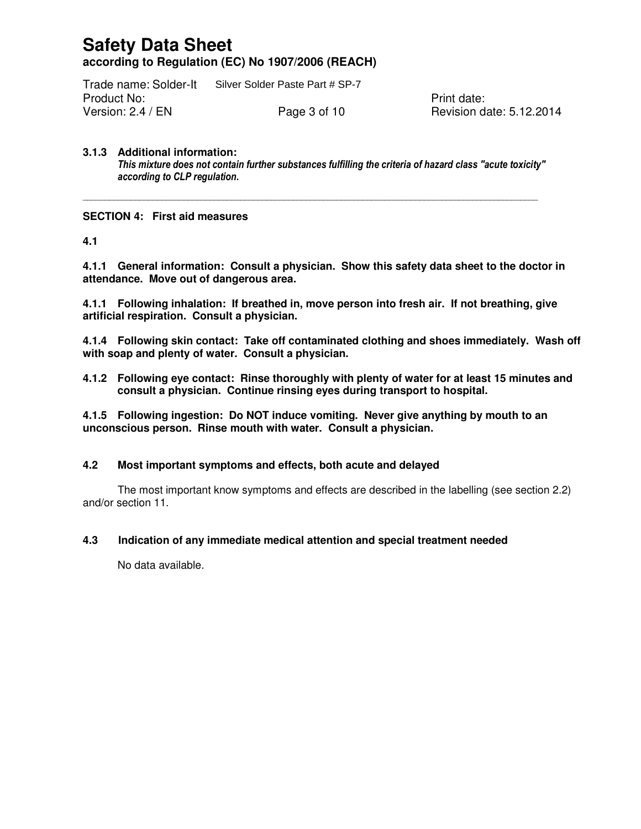Trade name: Solder-It Silver Solder Paste Part # SP-7 Product No: **Product No:** Product No: Version: 2.4 / EN **Page 3 of 10** Revision date: 5.12.2014

### **3.1.3 Additional information:**

This mixture does not contain further substances fulfilling the criteria of hazard class "acute toxicity" according to CLP regulation.

\_\_\_\_\_\_\_\_\_\_\_\_\_\_\_\_\_\_\_\_\_\_\_\_\_\_\_\_\_\_\_\_\_\_\_\_\_\_\_\_\_\_\_\_\_\_\_\_\_\_\_\_\_\_\_\_\_\_\_\_\_\_\_\_\_\_\_\_\_\_\_\_\_\_\_\_\_\_\_\_\_\_\_\_\_\_\_\_\_\_\_\_\_\_\_\_\_\_\_\_\_\_\_\_

### **SECTION 4: First aid measures**

**4.1** 

**4.1.1 General information: Consult a physician. Show this safety data sheet to the doctor in attendance. Move out of dangerous area.**

**4.1.1 Following inhalation: If breathed in, move person into fresh air. If not breathing, give artificial respiration. Consult a physician.**

**4.1.4 Following skin contact: Take off contaminated clothing and shoes immediately. Wash off with soap and plenty of water. Consult a physician.** 

**4.1.2 Following eye contact: Rinse thoroughly with plenty of water for at least 15 minutes and consult a physician. Continue rinsing eyes during transport to hospital.**

**4.1.5 Following ingestion: Do NOT induce vomiting. Never give anything by mouth to an unconscious person. Rinse mouth with water. Consult a physician.**

### **4.2 Most important symptoms and effects, both acute and delayed**

The most important know symptoms and effects are described in the labelling (see section 2.2) and/or section 11.

### **4.3 Indication of any immediate medical attention and special treatment needed**

No data available.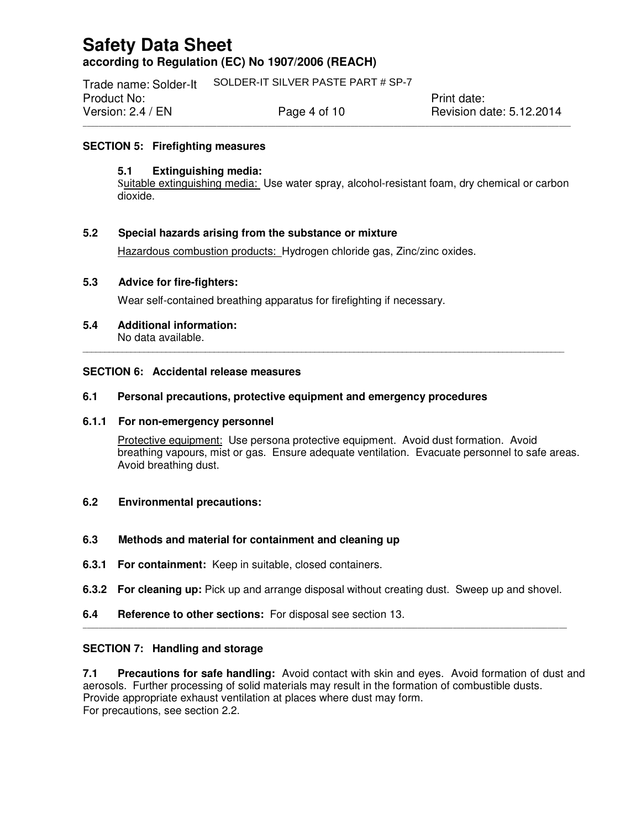Trade name: Solder-It SOLDER-IT SILVER PASTE PART # SP-7Product No: **Product No:** Product No: **Print date:** Version: 2.4 / EN **Page 4 of 10** Revision date: 5.12.2014

### **SECTION 5: Firefighting measures**

### **5.1 Extinguishing media:**

Suitable extinguishing media: Use water spray, alcohol-resistant foam, dry chemical or carbon dioxide.

\_\_\_\_\_\_\_\_\_\_\_\_\_\_\_\_\_\_\_\_\_\_\_\_\_\_\_\_\_\_\_\_\_\_\_\_\_\_\_\_\_\_\_\_\_\_\_\_\_\_\_\_\_\_\_\_\_\_\_\_\_\_\_\_\_\_\_\_\_\_\_\_\_\_\_\_\_\_\_\_\_\_\_\_\_\_\_\_\_\_\_\_\_\_\_\_\_\_\_\_\_\_\_\_\_\_\_\_\_\_\_\_\_\_\_\_\_\_\_\_\_\_\_\_

### **5.2 Special hazards arising from the substance or mixture**

Hazardous combustion products: Hydrogen chloride gas, Zinc/zinc oxides.

### **5.3 Advice for fire-fighters:**

Wear self-contained breathing apparatus for firefighting if necessary.

**5.4 Additional information:**  No data available.

### **SECTION 6: Accidental release measures**

### **6.1 Personal precautions, protective equipment and emergency procedures**

### **6.1.1 For non-emergency personnel**

Protective equipment: Use persona protective equipment. Avoid dust formation. Avoid breathing vapours, mist or gas. Ensure adequate ventilation. Evacuate personnel to safe areas. Avoid breathing dust.

\_\_\_\_\_\_\_\_\_\_\_\_\_\_\_\_\_\_\_\_\_\_\_\_\_\_\_\_\_\_\_\_\_\_\_\_\_\_\_\_\_\_\_\_\_\_\_\_\_\_\_\_\_\_\_\_\_\_\_\_\_\_\_\_\_\_\_\_\_\_\_\_\_\_\_\_\_\_\_\_\_\_\_\_\_\_\_\_\_\_\_\_\_\_\_\_\_\_\_\_\_\_\_\_\_\_\_\_\_\_

### **6.2 Environmental precautions:**

### **6.3 Methods and material for containment and cleaning up**

- **6.3.1 For containment:** Keep in suitable, closed containers.
- **6.3.2 For cleaning up:** Pick up and arrange disposal without creating dust. Sweep up and shovel.

\_\_\_\_\_\_\_\_\_\_\_\_\_\_\_\_\_\_\_\_\_\_\_\_\_\_\_\_\_\_\_\_\_\_\_\_\_\_\_\_\_\_\_\_\_\_\_\_\_\_\_\_\_\_\_\_\_\_\_\_\_\_\_\_\_\_\_\_\_\_\_\_\_\_\_\_\_\_\_\_\_\_\_\_\_\_\_\_\_\_\_\_\_\_\_\_\_\_\_\_\_\_\_\_\_\_\_\_\_\_\_\_\_\_\_\_\_\_\_\_\_\_\_

**6.4 Reference to other sections:** For disposal see section 13.

### **SECTION 7: Handling and storage**

**7.1 Precautions for safe handling:** Avoid contact with skin and eyes. Avoid formation of dust and aerosols. Further processing of solid materials may result in the formation of combustible dusts. Provide appropriate exhaust ventilation at places where dust may form. For precautions, see section 2.2.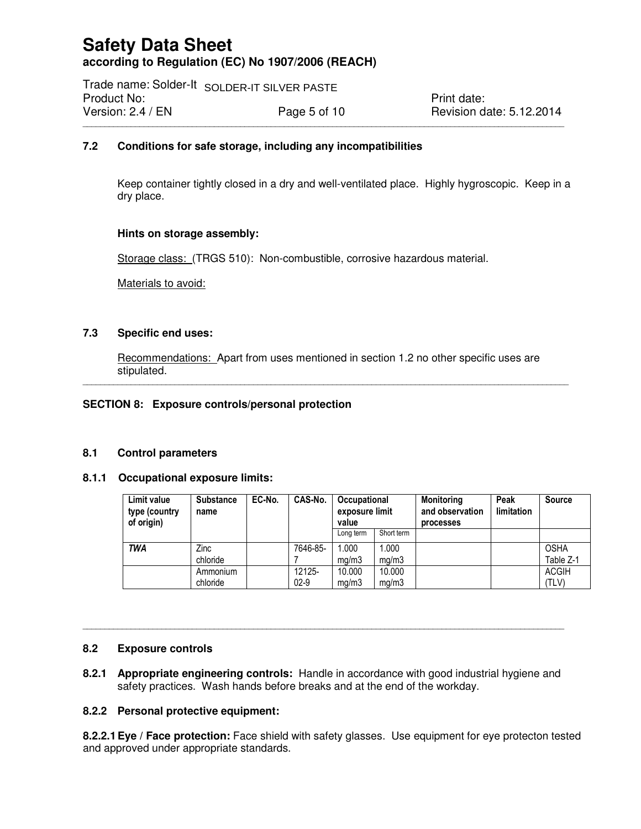Trade name: Solder-It SOLDER-IT SILVER PASTE Product No: Example 2014 The Contract of the Print date: Version: 2.4 / EN **Page 5 of 10** Revision date: 5.12.2014

### **7.2 Conditions for safe storage, including any incompatibilities**

Keep container tightly closed in a dry and well-ventilated place. Highly hygroscopic. Keep in a dry place.

\_\_\_\_\_\_\_\_\_\_\_\_\_\_\_\_\_\_\_\_\_\_\_\_\_\_\_\_\_\_\_\_\_\_\_\_\_\_\_\_\_\_\_\_\_\_\_\_\_\_\_\_\_\_\_\_\_\_\_\_\_\_\_\_\_\_\_\_\_\_\_\_\_\_\_\_\_\_\_\_\_\_\_\_\_\_\_\_\_\_\_\_\_\_\_\_\_\_\_\_\_\_\_\_\_\_\_\_\_\_

### **Hints on storage assembly:**

Storage class: (TRGS 510): Non-combustible, corrosive hazardous material.

Materials to avoid:

### **7.3 Specific end uses:**

Recommendations: Apart from uses mentioned in section 1.2 no other specific uses are stipulated. \_\_\_\_\_\_\_\_\_\_\_\_\_\_\_\_\_\_\_\_\_\_\_\_\_\_\_\_\_\_\_\_\_\_\_\_\_\_\_\_\_\_\_\_\_\_\_\_\_\_\_\_\_\_\_\_\_\_\_\_\_\_\_\_\_\_\_\_\_\_\_\_\_\_\_\_\_\_\_\_\_\_\_\_\_\_\_\_\_\_\_\_\_\_\_\_\_\_\_\_\_\_\_\_\_\_\_\_\_\_\_

### **SECTION 8: Exposure controls/personal protection**

### **8.1 Control parameters**

### **8.1.1 Occupational exposure limits:**

| Limit value<br>type (country<br>of origin) | <b>Substance</b><br>name | EC-No. | CAS-No.  | Occupational<br>exposure limit<br>value |            | <b>Monitoring</b><br>and observation<br><b>processes</b> | Peak<br>limitation | <b>Source</b> |
|--------------------------------------------|--------------------------|--------|----------|-----------------------------------------|------------|----------------------------------------------------------|--------------------|---------------|
|                                            |                          |        |          | Long term                               | Short term |                                                          |                    |               |
| <b>TWA</b>                                 | Zinc                     |        | 7646-85- | 1.000                                   | 1.000      |                                                          |                    | <b>OSHA</b>   |
|                                            | chloride                 |        |          | ma/m3                                   | mq/m3      |                                                          |                    | Table Z-1     |
|                                            | Ammonium                 |        | 12125-   | 10.000                                  | 10.000     |                                                          |                    | <b>ACGIH</b>  |
|                                            | chloride                 |        | $02-9$   | ma/m3                                   | mq/m3      |                                                          |                    | (TLV)         |

### **8.2 Exposure controls**

**8.2.1 Appropriate engineering controls:** Handle in accordance with good industrial hygiene and safety practices. Wash hands before breaks and at the end of the workday.

\_\_\_\_\_\_\_\_\_\_\_\_\_\_\_\_\_\_\_\_\_\_\_\_\_\_\_\_\_\_\_\_\_\_\_\_\_\_\_\_\_\_\_\_\_\_\_\_\_\_\_\_\_\_\_\_\_\_\_\_\_\_\_\_\_\_\_\_\_\_\_\_\_\_\_\_\_\_\_\_\_\_\_\_\_\_\_\_\_\_\_\_\_\_\_\_\_\_\_\_\_\_\_\_\_\_\_\_\_\_

### **8.2.2 Personal protective equipment:**

**8.2.2.1 Eye / Face protection:** Face shield with safety glasses. Use equipment for eye protecton tested and approved under appropriate standards.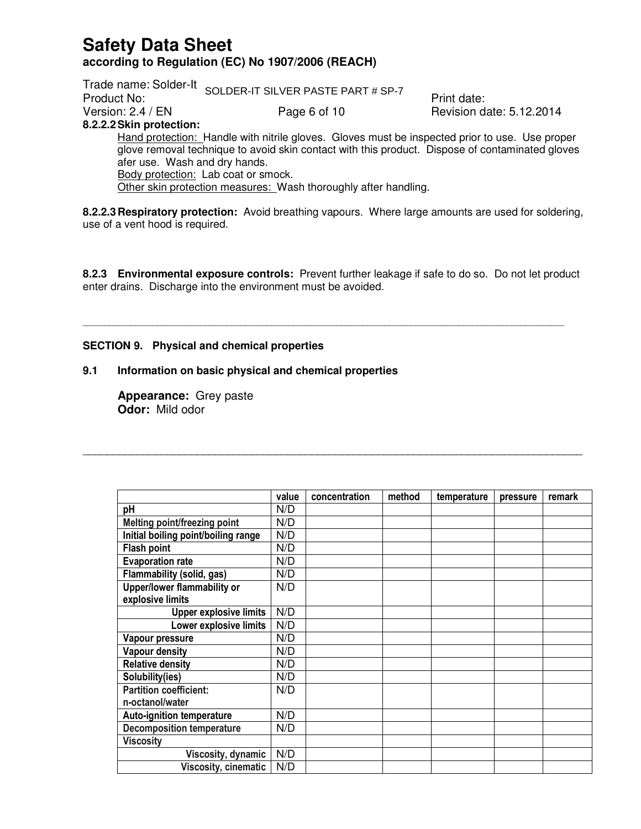Trade name: Solder-It Frade Hame: Oblief It SOLDER-IT SILVER PASTE PART # SP-7 Print date: Version: 2.4 / EN **Page 6 of 10** Revision date: 5.12.2014 **8.2.2.2 Skin protection:**

Hand protection: Handle with nitrile gloves. Gloves must be inspected prior to use. Use proper glove removal technique to avoid skin contact with this product. Dispose of contaminated gloves afer use. Wash and dry hands. Body protection: Lab coat or smock. Other skin protection measures: Wash thoroughly after handling.

**8.2.2.3 Respiratory protection:** Avoid breathing vapours. Where large amounts are used for soldering, use of a vent hood is required.

**8.2.3 Environmental exposure controls:** Prevent further leakage if safe to do so. Do not let product enter drains. Discharge into the environment must be avoided.

\_\_\_\_\_\_\_\_\_\_\_\_\_\_\_\_\_\_\_\_\_\_\_\_\_\_\_\_\_\_\_\_\_\_\_\_\_\_\_\_\_\_\_\_\_\_\_\_\_\_\_\_\_\_\_\_\_\_\_\_\_\_\_\_\_\_\_\_\_\_\_\_\_\_\_\_\_\_\_\_\_\_\_\_\_\_\_\_\_\_\_\_\_\_\_\_\_\_\_\_\_\_\_\_\_\_\_\_\_\_

\_\_\_\_\_\_\_\_\_\_\_\_\_\_\_\_\_\_\_\_\_\_\_\_\_\_\_\_\_\_\_\_\_\_\_\_\_\_\_\_\_\_\_\_\_\_\_\_\_\_\_\_\_\_\_\_\_\_\_\_\_\_\_\_\_\_\_\_\_\_\_\_\_\_\_\_\_\_\_\_\_\_\_

### **SECTION 9. Physical and chemical properties**

### **9.1 Information on basic physical and chemical properties**

**Appearance:** Grey paste **Odor:** Mild odor

|                                     | value | concentration | method | temperature | pressure | remark |
|-------------------------------------|-------|---------------|--------|-------------|----------|--------|
| рH                                  | N/D   |               |        |             |          |        |
| Melting point/freezing point        | N/D   |               |        |             |          |        |
| Initial boiling point/boiling range | N/D   |               |        |             |          |        |
| Flash point                         | N/D   |               |        |             |          |        |
| <b>Evaporation rate</b>             | N/D   |               |        |             |          |        |
| Flammability (solid, gas)           | N/D   |               |        |             |          |        |
| Upper/lower flammability or         | N/D   |               |        |             |          |        |
| explosive limits                    |       |               |        |             |          |        |
| <b>Upper explosive limits</b>       | N/D   |               |        |             |          |        |
| Lower explosive limits              | N/D   |               |        |             |          |        |
| Vapour pressure                     | N/D   |               |        |             |          |        |
| Vapour density                      | N/D   |               |        |             |          |        |
| <b>Relative density</b>             | N/D   |               |        |             |          |        |
| Solubility(ies)                     | N/D   |               |        |             |          |        |
| <b>Partition coefficient:</b>       | N/D   |               |        |             |          |        |
| n-octanol/water                     |       |               |        |             |          |        |
| <b>Auto-ignition temperature</b>    | N/D   |               |        |             |          |        |
| <b>Decomposition temperature</b>    | N/D   |               |        |             |          |        |
| <b>Viscosity</b>                    |       |               |        |             |          |        |
| Viscosity, dynamic                  | N/D   |               |        |             |          |        |
| Viscosity, cinematic                | N/D   |               |        |             |          |        |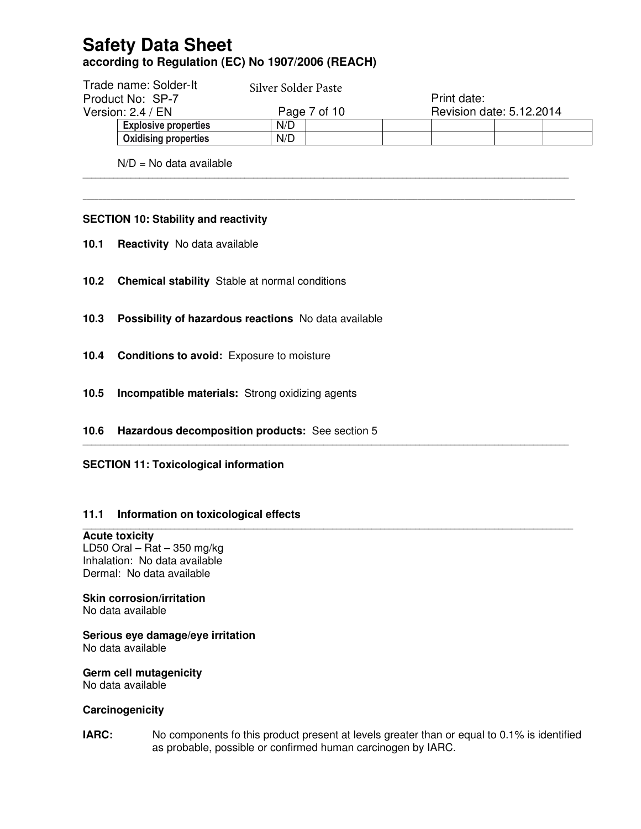|                  | Trade name: Solder-It       | Silver Solder Paste |  |  |                          |             |  |  |
|------------------|-----------------------------|---------------------|--|--|--------------------------|-------------|--|--|
| Product No: SP-7 |                             |                     |  |  |                          | Print date: |  |  |
|                  | Version: $2.4 / EN$         | Page 7 of 10        |  |  | Revision date: 5.12.2014 |             |  |  |
|                  | <b>Explosive properties</b> | N/D                 |  |  |                          |             |  |  |
|                  | <b>Oxidising properties</b> | N/D                 |  |  |                          |             |  |  |

\_\_\_\_\_\_\_\_\_\_\_\_\_\_\_\_\_\_\_\_\_\_\_\_\_\_\_\_\_\_\_\_\_\_\_\_\_\_\_\_\_\_\_\_\_\_\_\_\_\_\_\_\_\_\_\_\_\_\_\_\_\_\_\_\_\_\_\_\_\_\_\_\_\_\_\_\_\_\_\_\_\_\_\_\_\_\_\_\_\_\_\_\_\_\_\_\_\_\_\_\_\_\_\_\_\_\_\_\_\_\_

**\_\_\_\_\_\_\_\_\_\_\_\_\_\_\_\_\_\_\_\_\_\_\_\_\_\_\_\_\_\_\_\_\_\_\_\_\_\_\_\_\_\_\_\_\_\_\_\_\_\_\_\_\_\_\_\_\_\_\_\_\_\_\_\_\_\_\_\_\_\_\_\_\_\_\_\_\_\_\_\_\_\_\_\_\_\_\_\_\_\_\_\_\_\_\_\_\_\_\_\_\_\_\_\_\_\_\_\_\_\_\_\_\_\_\_\_\_\_\_\_\_\_\_\_\_** 

\_\_\_\_\_\_\_\_\_\_\_\_\_\_\_\_\_\_\_\_\_\_\_\_\_\_\_\_\_\_\_\_\_\_\_\_\_\_\_\_\_\_\_\_\_\_\_\_\_\_\_\_\_\_\_\_\_\_\_\_\_\_\_\_\_\_\_\_\_\_\_\_\_\_\_\_\_\_\_\_\_\_\_\_\_\_\_\_\_\_\_\_\_\_\_\_\_\_\_\_\_\_\_\_\_\_\_\_\_\_\_

\_\_\_\_\_\_\_\_\_\_\_\_\_\_\_\_\_\_\_\_\_\_\_\_\_\_\_\_\_\_\_\_\_\_\_\_\_\_\_\_\_\_\_\_\_\_\_\_\_\_\_\_\_\_\_\_\_\_\_\_\_\_\_\_\_\_\_\_\_\_\_\_\_\_\_\_\_\_\_\_\_\_\_\_\_\_\_\_\_\_\_\_\_\_\_\_\_\_\_\_\_\_\_\_\_\_\_\_\_\_\_\_

 $N/D = NQ$  data available

### **SECTION 10: Stability and reactivity**

- **10.1 Reactivity** No data available
- **10.2 Chemical stability** Stable at normal conditions
- **10.3 Possibility of hazardous reactions** No data available
- **10.4 Conditions to avoid:** Exposure to moisture
- **10.5 Incompatible materials:** Strong oxidizing agents
- **10.6 Hazardous decomposition products:** See section 5
- **SECTION 11: Toxicological information**

### **11.1 Information on toxicological effects**

### **Acute toxicity**

LD50 Oral – Rat – 350 mg/kg Inhalation: No data available Dermal: No data available

### **Skin corrosion/irritation**

No data available

#### **Serious eye damage/eye irritation**  No data available

### **Germ cell mutagenicity**

No data available

### **Carcinogenicity**

**IARC:** No components fo this product present at levels greater than or equal to 0.1% is identified as probable, possible or confirmed human carcinogen by IARC.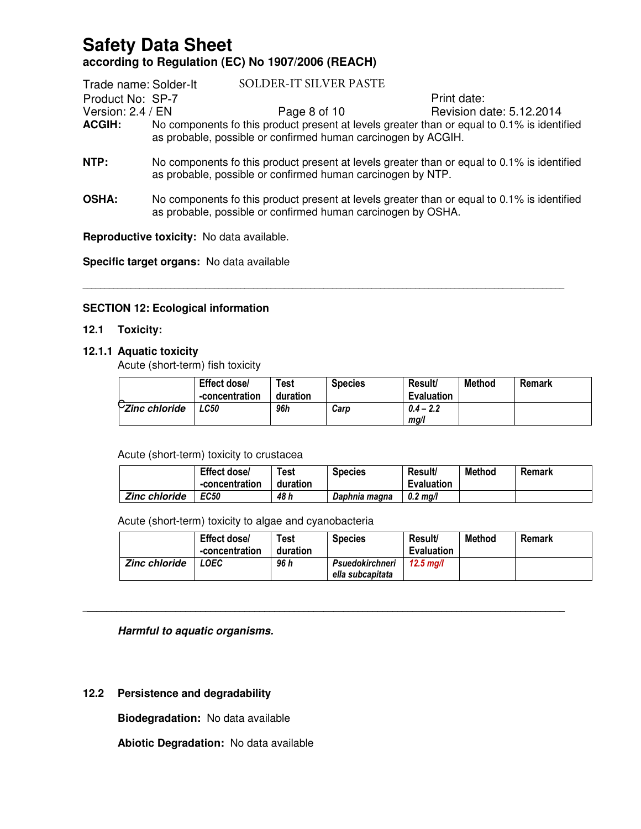| Trade name: Solder-It | SOLDER-IT SILVER PASTE                                                                                                                                       |                          |
|-----------------------|--------------------------------------------------------------------------------------------------------------------------------------------------------------|--------------------------|
| Product No: SP-7      |                                                                                                                                                              | Print date:              |
| Version: $2.4 / EN$   | Page 8 of 10                                                                                                                                                 | Revision date: 5.12.2014 |
| <b>ACGIH:</b>         | No components fo this product present at levels greater than or equal to 0.1% is identified<br>as probable, possible or confirmed human carcinogen by ACGIH. |                          |
| NTP:                  | No components fo this product present at levels greater than or equal to 0.1% is identified<br>as probable, possible or confirmed human carcinogen by NTP.   |                          |

**OSHA:** No components fo this product present at levels greater than or equal to 0.1% is identified as probable, possible or confirmed human carcinogen by OSHA.

\_\_\_\_\_\_\_\_\_\_\_\_\_\_\_\_\_\_\_\_\_\_\_\_\_\_\_\_\_\_\_\_\_\_\_\_\_\_\_\_\_\_\_\_\_\_\_\_\_\_\_\_\_\_\_\_\_\_\_\_\_\_\_\_\_\_\_\_\_\_\_\_\_\_\_\_\_\_\_\_\_\_\_\_\_\_\_\_\_\_\_\_\_\_\_\_\_\_\_\_\_\_\_\_\_\_\_\_\_\_

**Reproductive toxicity:** No data available.

**Specific target organs:** No data available

### **SECTION 12: Ecological information**

### **12.1 Toxicity:**

### **12.1.1 Aquatic toxicity**

Acute (short-term) fish toxicity

|                                | Effect dose/<br>-concentration | <b>Test</b><br>duration | <b>Species</b> | <b>Result/</b><br><b>Evaluation</b> | Method | Remark |
|--------------------------------|--------------------------------|-------------------------|----------------|-------------------------------------|--------|--------|
| $\triangleright$ Zinc chloride | LC50                           | 96h                     | Carp           | $0.4 - 2.2$<br>mg/l                 |        |        |

### Acute (short-term) toxicity to crustacea

|                      | Effect dose/<br>-concentration | ${\sf \tau}_{\sf est}$<br>duration | <b>Species</b> | Result/<br><b>Evaluation</b> | Method | Remark |
|----------------------|--------------------------------|------------------------------------|----------------|------------------------------|--------|--------|
| <b>Zinc chloride</b> | <b>EC50</b>                    | 48 h                               | Daphnia magna  | $0.2 \text{ ma/l}$           |        |        |

Acute (short-term) toxicity to algae and cyanobacteria

|                      | Effect dose/<br>-concentration | Test<br>duration | <b>Species</b>                      | Result/<br><b>Evaluation</b> | <b>Method</b> | <b>Remark</b> |
|----------------------|--------------------------------|------------------|-------------------------------------|------------------------------|---------------|---------------|
| <b>Zinc chloride</b> | LOEC                           | 96 h             | Psuedokirchneri<br>ella subcapitata | 12.5 ma/l                    |               |               |

\_\_\_\_\_\_\_\_\_\_\_\_\_\_\_\_\_\_\_\_\_\_\_\_\_\_\_\_\_\_\_\_\_\_\_\_\_\_\_\_\_\_\_\_\_\_\_\_\_\_\_\_\_\_\_\_\_\_\_\_\_\_\_\_\_\_\_\_\_\_\_\_\_\_\_\_\_\_\_\_\_\_\_\_\_\_\_\_\_\_\_\_\_\_\_\_\_\_

### **Harmful to aquatic organisms.**

### **12.2 Persistence and degradability**

**Biodegradation:** No data available

**Abiotic Degradation:** No data available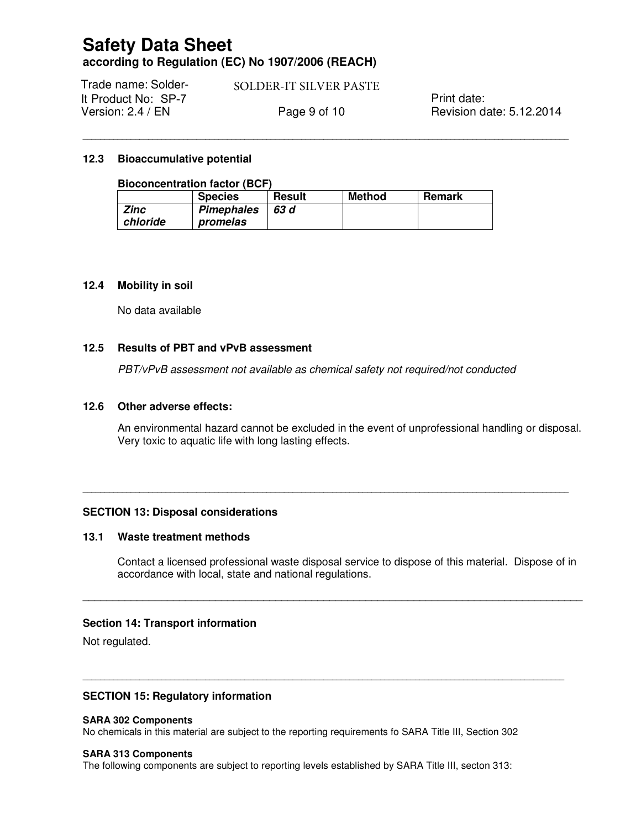Print date: Trade name: Solder-It Product No: SP-7 Version: 2.4 / EN **Page 9 of 10** Revision date: 5.12.2014 SOLDER-IT SILVER PASTE

\_\_\_\_\_\_\_\_\_\_\_\_\_\_\_\_\_\_\_\_\_\_\_\_\_\_\_\_\_\_\_\_\_\_\_\_\_\_\_\_\_\_\_\_\_\_\_\_\_\_\_\_\_\_\_\_\_\_\_\_\_\_\_\_\_\_\_\_\_\_\_\_\_\_\_\_\_\_\_\_\_\_\_\_\_\_\_\_\_\_\_\_\_\_\_\_\_\_\_\_\_\_\_\_\_\_\_\_\_\_\_

### **12.3 Bioaccumulative potential**

### **Bioconcentration factor (BCF)**

|             | <b>Species</b>    | <b>Result</b> | <b>Method</b> | Remark |
|-------------|-------------------|---------------|---------------|--------|
| <b>Zinc</b> | <b>Pimephales</b> | 63 d          |               |        |
| chloride    | promelas          |               |               |        |

### **12.4 Mobility in soil**

No data available

### **12.5 Results of PBT and vPvB assessment**

PBT/vPvB assessment not available as chemical safety not required/not conducted

\_\_\_\_\_\_\_\_\_\_\_\_\_\_\_\_\_\_\_\_\_\_\_\_\_\_\_\_\_\_\_\_\_\_\_\_\_\_\_\_\_\_\_\_\_\_\_\_\_\_\_\_\_\_\_\_\_\_\_\_\_\_\_\_\_\_\_\_\_\_\_\_\_\_\_\_\_\_\_\_\_\_\_\_\_\_\_\_\_\_\_\_\_\_\_\_\_\_\_\_\_\_\_\_\_\_\_\_\_\_\_

#### **12.6 Other adverse effects:**

An environmental hazard cannot be excluded in the event of unprofessional handling or disposal. Very toxic to aquatic life with long lasting effects.

### **SECTION 13: Disposal considerations**

### **13.1 Waste treatment methods**

Contact a licensed professional waste disposal service to dispose of this material. Dispose of in accordance with local, state and national regulations.

\_\_\_\_\_\_\_\_\_\_\_\_\_\_\_\_\_\_\_\_\_\_\_\_\_\_\_\_\_\_\_\_\_\_\_\_\_\_\_\_\_\_\_\_\_\_\_\_\_\_\_\_\_\_\_\_\_\_\_\_\_\_\_\_\_\_\_\_\_\_\_\_\_\_\_\_\_\_\_\_\_\_\_

\_\_\_\_\_\_\_\_\_\_\_\_\_\_\_\_\_\_\_\_\_\_\_\_\_\_\_\_\_\_\_\_\_\_\_\_\_\_\_\_\_\_\_\_\_\_\_\_\_\_\_\_\_\_\_\_\_\_\_\_\_\_\_\_\_\_\_\_\_\_\_\_\_\_\_\_\_\_\_\_\_\_\_\_\_\_\_\_\_\_\_\_\_\_\_\_\_\_\_\_\_\_\_\_\_\_\_\_\_\_

### **Section 14: Transport information**

Not regulated.

### **SECTION 15: Regulatory information**

#### **SARA 302 Components**

No chemicals in this material are subject to the reporting requirements fo SARA Title III, Section 302

#### **SARA 313 Components**

The following components are subject to reporting levels established by SARA Title III, secton 313: